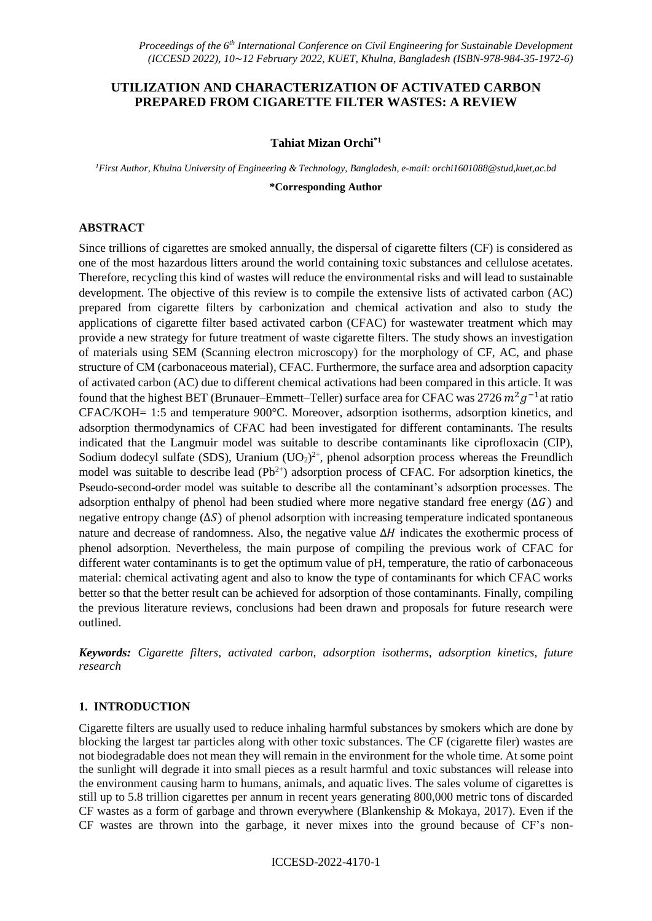# **UTILIZATION AND CHARACTERIZATION OF ACTIVATED CARBON PREPARED FROM CIGARETTE FILTER WASTES: A REVIEW**

### **Tahiat Mizan Orchi\*1**

*<sup>1</sup>First Author, Khulna University of Engineering & Technology, Bangladesh, e-mail: orchi1601088@stud,kuet,ac.bd*

**\*Corresponding Author** 

### **ABSTRACT**

Since trillions of cigarettes are smoked annually, the dispersal of cigarette filters (CF) is considered as one of the most hazardous litters around the world containing toxic substances and cellulose acetates. Therefore, recycling this kind of wastes will reduce the environmental risks and will lead to sustainable development. The objective of this review is to compile the extensive lists of activated carbon (AC) prepared from cigarette filters by carbonization and chemical activation and also to study the applications of cigarette filter based activated carbon (CFAC) for wastewater treatment which may provide a new strategy for future treatment of waste cigarette filters. The study shows an investigation of materials using SEM (Scanning electron microscopy) for the morphology of CF, AC, and phase structure of CM (carbonaceous material), CFAC. Furthermore, the surface area and adsorption capacity of activated carbon (AC) due to different chemical activations had been compared in this article. It was found that the highest BET (Brunauer–Emmett–Teller) surface area for CFAC was 2726  $m^2g^{-1}$ at ratio CFAC/KOH= 1:5 and temperature 900°C. Moreover, adsorption isotherms, adsorption kinetics, and adsorption thermodynamics of CFAC had been investigated for different contaminants. The results indicated that the Langmuir model was suitable to describe contaminants like ciprofloxacin (CIP), Sodium dodecyl sulfate (SDS), Uranium  $(UO<sub>2</sub>)<sup>2+</sup>$ , phenol adsorption process whereas the Freundlich model was suitable to describe lead  $(Pb<sup>2+</sup>)$  adsorption process of CFAC. For adsorption kinetics, the Pseudo-second-order model was suitable to describe all the contaminant's adsorption processes. The adsorption enthalpy of phenol had been studied where more negative standard free energy  $(\Delta G)$  and negative entropy change  $(\Delta S)$  of phenol adsorption with increasing temperature indicated spontaneous nature and decrease of randomness. Also, the negative value  $\Delta H$  indicates the exothermic process of phenol adsorption. Nevertheless, the main purpose of compiling the previous work of CFAC for different water contaminants is to get the optimum value of pH, temperature, the ratio of carbonaceous material: chemical activating agent and also to know the type of contaminants for which CFAC works better so that the better result can be achieved for adsorption of those contaminants. Finally, compiling the previous literature reviews, conclusions had been drawn and proposals for future research were outlined.

*Keywords: Cigarette filters, activated carbon, adsorption isotherms, adsorption kinetics, future research*

# **1. INTRODUCTION**

Cigarette filters are usually used to reduce inhaling harmful substances by smokers which are done by blocking the largest tar particles along with other toxic substances. The CF (cigarette filer) wastes are not biodegradable does not mean they will remain in the environment for the whole time. At some point the sunlight will degrade it into small pieces as a result harmful and toxic substances will release into the environment causing harm to humans, animals, and aquatic lives. The sales volume of cigarettes is still up to 5.8 trillion cigarettes per annum in recent years generating 800,000 metric tons of discarded CF wastes as a form of garbage and thrown everywhere (Blankenship & Mokaya, 2017). Even if the CF wastes are thrown into the garbage, it never mixes into the ground because of CF's non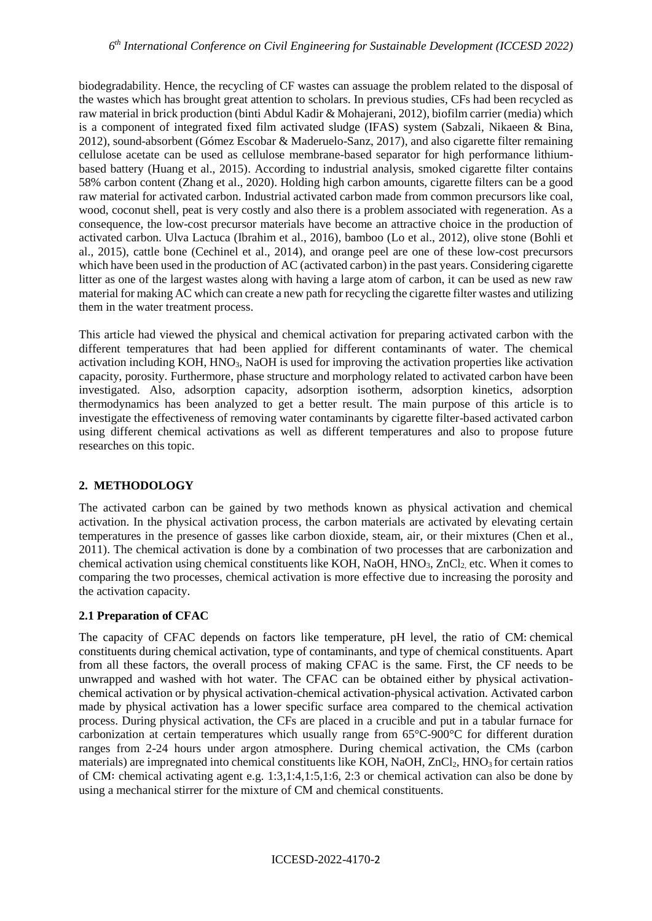biodegradability. Hence, the recycling of CF wastes can assuage the problem related to the disposal of the wastes which has brought great attention to scholars. In previous studies, CFs had been recycled as raw material in brick production (binti Abdul Kadir & Mohajerani, 2012), biofilm carrier (media) which is a component of integrated fixed film activated sludge (IFAS) system (Sabzali, Nikaeen & Bina, 2012), sound-absorbent (Gómez Escobar & Maderuelo-Sanz, 2017), and also cigarette filter remaining cellulose acetate can be used as cellulose membrane-based separator for high performance lithiumbased battery (Huang et al., 2015). According to industrial analysis, smoked cigarette filter contains 58% carbon content (Zhang et al., 2020). Holding high carbon amounts, cigarette filters can be a good raw material for activated carbon. Industrial activated carbon made from common precursors like coal, wood, coconut shell, peat is very costly and also there is a problem associated with regeneration. As a consequence, the low-cost precursor materials have become an attractive choice in the production of activated carbon. Ulva Lactuca (Ibrahim et al., 2016), bamboo (Lo et al., 2012), olive stone (Bohli et al., 2015), cattle bone (Cechinel et al., 2014), and orange peel are one of these low-cost precursors which have been used in the production of AC (activated carbon) in the past years. Considering cigarette litter as one of the largest wastes along with having a large atom of carbon, it can be used as new raw material for making AC which can create a new path for recycling the cigarette filter wastes and utilizing them in the water treatment process.

This article had viewed the physical and chemical activation for preparing activated carbon with the different temperatures that had been applied for different contaminants of water. The chemical activation including KOH, HNO3, NaOH is used for improving the activation properties like activation capacity, porosity. Furthermore, phase structure and morphology related to activated carbon have been investigated. Also, adsorption capacity, adsorption isotherm, adsorption kinetics, adsorption thermodynamics has been analyzed to get a better result. The main purpose of this article is to investigate the effectiveness of removing water contaminants by cigarette filter-based activated carbon using different chemical activations as well as different temperatures and also to propose future researches on this topic.

# **2. METHODOLOGY**

The activated carbon can be gained by two methods known as physical activation and chemical activation. In the physical activation process, the carbon materials are activated by elevating certain temperatures in the presence of gasses like carbon dioxide, steam, air, or their mixtures (Chen et al., 2011). The chemical activation is done by a combination of two processes that are carbonization and chemical activation using chemical constituents like KOH, NaOH, HNO<sub>3</sub>, ZnCl<sub>2</sub>, etc. When it comes to comparing the two processes, chemical activation is more effective due to increasing the porosity and the activation capacity.

# **2.1 Preparation of CFAC**

The capacity of CFAC depends on factors like temperature, pH level, the ratio of CM: chemical constituents during chemical activation, type of contaminants, and type of chemical constituents. Apart from all these factors, the overall process of making CFAC is the same. First, the CF needs to be unwrapped and washed with hot water. The CFAC can be obtained either by physical activationchemical activation or by physical activation-chemical activation-physical activation. Activated carbon made by physical activation has a lower specific surface area compared to the chemical activation process. During physical activation, the CFs are placed in a crucible and put in a tabular furnace for carbonization at certain temperatures which usually range from 65°C-900°C for different duration ranges from 2-24 hours under argon atmosphere. During chemical activation, the CMs (carbon materials) are impregnated into chemical constituents like KOH, NaOH, ZnCl<sub>2</sub>, HNO<sub>3</sub> for certain ratios of CM∶ chemical activating agent e.g. 1:3,1:4,1:5,1:6, 2:3 or chemical activation can also be done by using a mechanical stirrer for the mixture of CM and chemical constituents.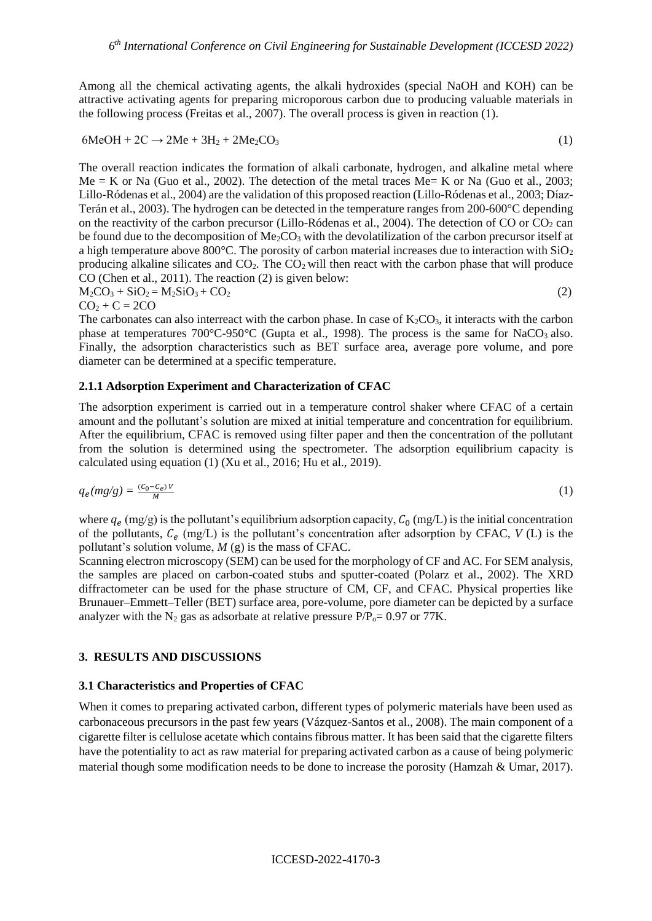Among all the chemical activating agents, the alkali hydroxides (special NaOH and KOH) can be attractive activating agents for preparing microporous carbon due to producing valuable materials in the following process (Freitas et al., 2007). The overall process is given in reaction (1).

$$
6\text{MeOH} + 2\text{C} \rightarrow 2\text{Me} + 3\text{H}_2 + 2\text{Me}_2\text{CO}_3 \tag{1}
$$

The overall reaction indicates the formation of alkali carbonate, hydrogen, and alkaline metal where  $Me = K$  or Na (Guo et al., 2002). The detection of the metal traces Me= K or Na (Guo et al., 2003; Lillo-Ródenas et al., 2004) are the validation of this proposed reaction (Lillo-Ródenas et al., 2003; Díaz-Terán et al., 2003). The hydrogen can be detected in the temperature ranges from 200-600°C depending on the reactivity of the carbon precursor (Lillo-Ródenas et al., 2004). The detection of CO or CO<sub>2</sub> can be found due to the decomposition of Me<sub>2</sub>CO<sub>3</sub> with the devolatilization of the carbon precursor itself at a high temperature above 800°C. The porosity of carbon material increases due to interaction with  $SiO<sub>2</sub>$ producing alkaline silicates and  $CO<sub>2</sub>$ . The  $CO<sub>2</sub>$  will then react with the carbon phase that will produce CO (Chen et al., 2011). The reaction (2) is given below:

$$
M_2CO_3 + SiO_2 = M_2SiO_3 + CO_2 \tag{2}
$$

 $CO<sub>2</sub> + C = 2CO$ 

The carbonates can also interreact with the carbon phase. In case of  $K_2CO_3$ , it interacts with the carbon phase at temperatures  $700^{\circ}$ C-950 $^{\circ}$ C (Gupta et al., 1998). The process is the same for NaCO<sub>3</sub> also. Finally, the adsorption characteristics such as BET surface area, average pore volume, and pore diameter can be determined at a specific temperature.

#### **2.1.1 Adsorption Experiment and Characterization of CFAC**

The adsorption experiment is carried out in a temperature control shaker where CFAC of a certain amount and the pollutant's solution are mixed at initial temperature and concentration for equilibrium. After the equilibrium, CFAC is removed using filter paper and then the concentration of the pollutant from the solution is determined using the spectrometer. The adsorption equilibrium capacity is calculated using equation (1) (Xu et al., 2016; Hu et al., 2019).

$$
q_e(mg/g) = \frac{(c_0 - c_e)v}{M} \tag{1}
$$

where  $q_e$  (mg/g) is the pollutant's equilibrium adsorption capacity,  $C_0$  (mg/L) is the initial concentration of the pollutants,  $C_e$  (mg/L) is the pollutant's concentration after adsorption by CFAC,  $V$  (L) is the pollutant's solution volume, *M* (g) is the mass of CFAC.

Scanning electron microscopy (SEM) can be used for the morphology of CF and AC. For SEM analysis, the samples are placed on carbon-coated stubs and sputter-coated (Polarz et al., 2002). The XRD diffractometer can be used for the phase structure of CM, CF, and CFAC. Physical properties like Brunauer–Emmett–Teller (BET) surface area, pore-volume, pore diameter can be depicted by a surface analyzer with the  $N_2$  gas as adsorbate at relative pressure  $P/P_0 = 0.97$  or 77K.

### **3. RESULTS AND DISCUSSIONS**

#### **3.1 Characteristics and Properties of CFAC**

When it comes to preparing activated carbon, different types of polymeric materials have been used as carbonaceous precursors in the past few years (Vázquez-Santos et al., 2008). The main component of a cigarette filter is cellulose acetate which contains fibrous matter. It has been said that the cigarette filters have the potentiality to act as raw material for preparing activated carbon as a cause of being polymeric material though some modification needs to be done to increase the porosity (Hamzah & Umar, 2017).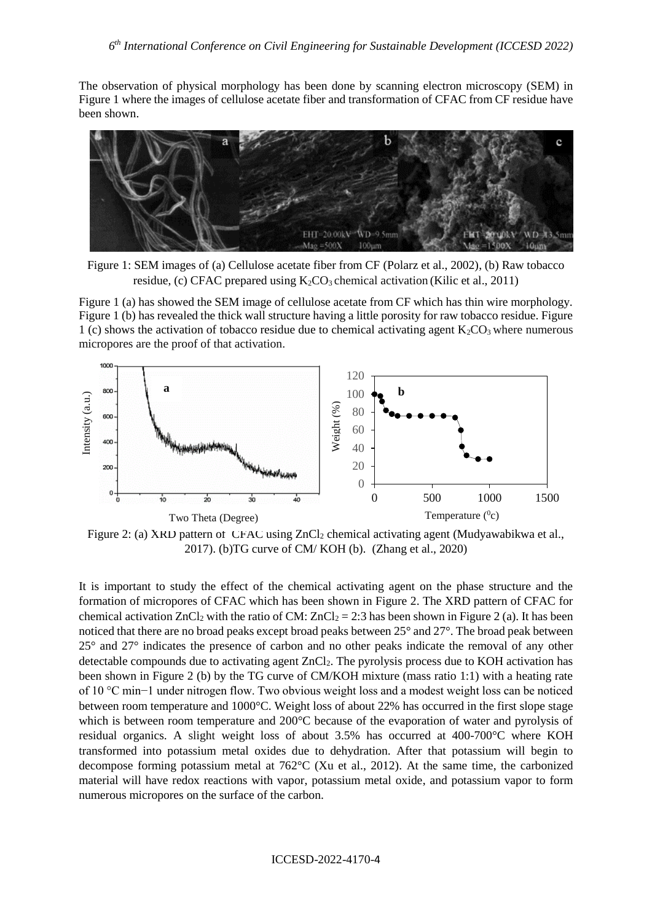The observation of physical morphology has been done by scanning electron microscopy (SEM) in Figure 1 where the images of cellulose acetate fiber and transformation of CFAC from CF residue have been shown.



Figure 1: SEM images of (a) Cellulose acetate fiber from CF (Polarz et al., 2002), (b) Raw tobacco residue, (c) CFAC prepared using  $K_2CO_3$  chemical activation (Kilic et al., 2011)

Figure 1 (a) has showed the SEM image of cellulose acetate from CF which has thin wire morphology. Figure 1 (b) has revealed the thick wall structure having a little porosity for raw tobacco residue. Figure 1 (c) shows the activation of tobacco residue due to chemical activating agent  $K_2CO_3$  where numerous micropores are the proof of that activation.



Figure 2: (a) XRD pattern of CFAC using ZnCl<sub>2</sub> chemical activating agent (Mudyawabikwa et al., 2017). (b)TG curve of CM/ KOH (b). (Zhang et al., 2020)

It is important to study the effect of the chemical activating agent on the phase structure and the formation of micropores of CFAC which has been shown in Figure 2. The XRD pattern of CFAC for chemical activation  $ZnCl_2$  with the ratio of CM:  $ZnCl_2 = 2:3$  has been shown in Figure 2 (a). It has been noticed that there are no broad peaks except broad peaks between 25° and 27°. The broad peak between 25° and 27° indicates the presence of carbon and no other peaks indicate the removal of any other detectable compounds due to activating agent ZnCl<sub>2</sub>. The pyrolysis process due to KOH activation has been shown in Figure 2 (b) by the TG curve of CM/KOH mixture (mass ratio 1:1) with a heating rate of 10 °C min−1 under nitrogen flow. Two obvious weight loss and a modest weight loss can be noticed between room temperature and 1000°C. Weight loss of about 22% has occurred in the first slope stage which is between room temperature and 200°C because of the evaporation of water and pyrolysis of residual organics. A slight weight loss of about 3.5% has occurred at 400-700°C where KOH transformed into potassium metal oxides due to dehydration. After that potassium will begin to decompose forming potassium metal at 762°C (Xu et al., 2012). At the same time, the carbonized material will have redox reactions with vapor, potassium metal oxide, and potassium vapor to form numerous micropores on the surface of the carbon.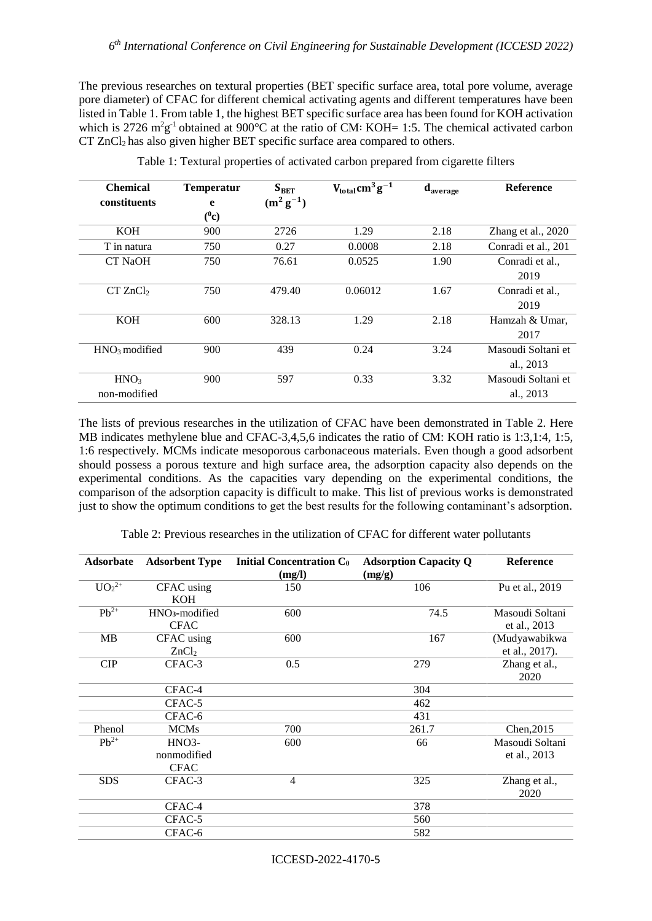The previous researches on textural properties (BET specific surface area, total pore volume, average pore diameter) of CFAC for different chemical activating agents and different temperatures have been listed in Table 1. From table 1, the highest BET specific surface area has been found for KOH activation which is 2726 m<sup>2</sup>g<sup>-1</sup> obtained at 900°C at the ratio of CM: KOH= 1:5. The chemical activated carbon  $CT$  ZnCl<sub>2</sub> has also given higher BET specific surface area compared to others.

| <b>Chemical</b>      | <b>Temperatur</b> | $S_{BET}$      | $V_{total}$ cm <sup>3</sup> g <sup>-1</sup> | $\mathbf{d}_{\text{average}}$ | Reference           |
|----------------------|-------------------|----------------|---------------------------------------------|-------------------------------|---------------------|
| constituents         | e                 | $(m^2 g^{-1})$ |                                             |                               |                     |
|                      | $(^0c)$           |                |                                             |                               |                     |
| <b>KOH</b>           | 900               | 2726           | 1.29                                        | 2.18                          | Zhang et al., 2020  |
| T in natura          | 750               | 0.27           | 0.0008                                      | 2.18                          | Conradi et al., 201 |
| CT NaOH              | 750               | 76.61          | 0.0525                                      | 1.90                          | Conradi et al.,     |
|                      |                   |                |                                             |                               | 2019                |
| CT ZnCl <sub>2</sub> | 750               | 479.40         | 0.06012                                     | 1.67                          | Conradi et al.,     |
|                      |                   |                |                                             |                               | 2019                |
| <b>KOH</b>           | 600               | 328.13         | 1.29                                        | 2.18                          | Hamzah & Umar,      |
|                      |                   |                |                                             |                               | 2017                |
| $HNO3$ modified      | 900               | 439            | 0.24                                        | 3.24                          | Masoudi Soltani et  |
|                      |                   |                |                                             |                               | al., 2013           |
| HNO <sub>3</sub>     | 900               | 597            | 0.33                                        | 3.32                          | Masoudi Soltani et  |
| non-modified         |                   |                |                                             |                               | al., 2013           |

Table 1: Textural properties of activated carbon prepared from cigarette filters

The lists of previous researches in the utilization of CFAC have been demonstrated in Table 2. Here MB indicates methylene blue and CFAC-3,4,5,6 indicates the ratio of CM: KOH ratio is 1:3,1:4, 1:5, 1:6 respectively. MCMs indicate mesoporous carbonaceous materials. Even though a good adsorbent should possess a porous texture and high surface area, the adsorption capacity also depends on the experimental conditions. As the capacities vary depending on the experimental conditions, the comparison of the adsorption capacity is difficult to make. This list of previous works is demonstrated just to show the optimum conditions to get the best results for the following contaminant's adsorption.

Table 2: Previous researches in the utilization of CFAC for different water pollutants

| <b>Adsorbate</b>       | <b>Adsorbent Type</b>                     | <b>Initial Concentration Co</b><br>(mg/l) | <b>Adsorption Capacity Q</b><br>(mg/g) | <b>Reference</b>                |
|------------------------|-------------------------------------------|-------------------------------------------|----------------------------------------|---------------------------------|
| $\overline{UO_2^{2+}}$ | CFAC using<br><b>KOH</b>                  | 150                                       | 106                                    | Pu et al., 2019                 |
| $Pb^{2+}$              | HNO <sub>3</sub> -modified<br><b>CFAC</b> | 600                                       | 74.5                                   | Masoudi Soltani<br>et al., 2013 |
| <b>MB</b>              | CFAC using<br>ZnCl <sub>2</sub>           | 600                                       | 167                                    | (Mudyawabikwa<br>et al., 2017). |
| CIP                    | CFAC-3                                    | 0.5                                       | 279                                    | Zhang et al.,<br>2020           |
|                        | CFAC-4                                    |                                           | 304                                    |                                 |
|                        | CFAC-5                                    |                                           | 462                                    |                                 |
|                        | CFAC-6                                    |                                           | 431                                    |                                 |
| Phenol                 | <b>MCMs</b>                               | 700                                       | 261.7                                  | Chen, 2015                      |
| $Pb^{2+}$              | HNO3-<br>nonmodified<br><b>CFAC</b>       | 600                                       | 66                                     | Masoudi Soltani<br>et al., 2013 |
| <b>SDS</b>             | CFAC-3                                    | $\overline{4}$                            | 325                                    | Zhang et al.,<br>2020           |
|                        | CFAC-4                                    |                                           | 378                                    |                                 |
|                        | CFAC-5                                    |                                           | 560                                    |                                 |
|                        | CFAC-6                                    |                                           | 582                                    |                                 |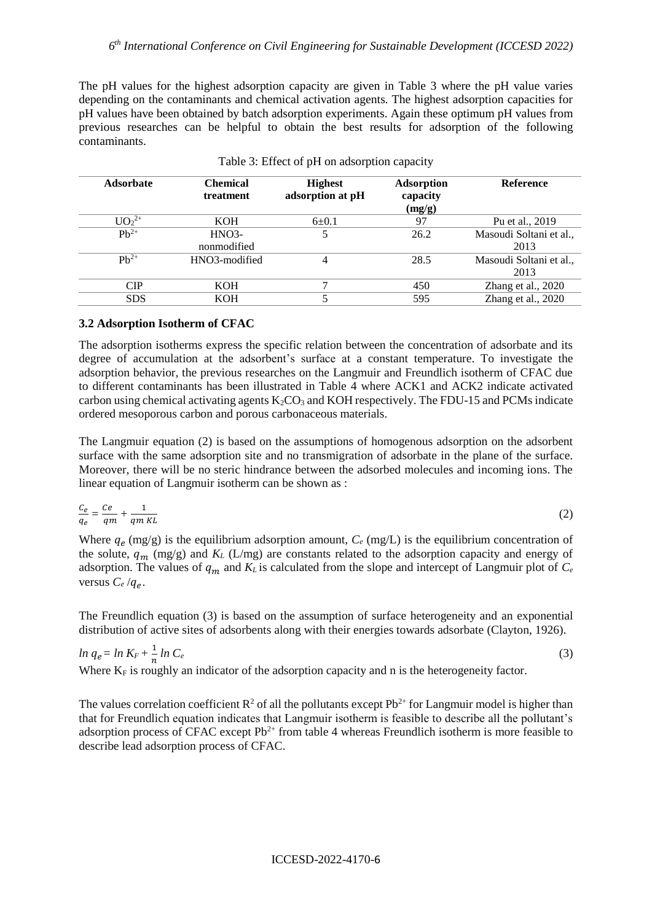The pH values for the highest adsorption capacity are given in Table 3 where the pH value varies depending on the contaminants and chemical activation agents. The highest adsorption capacities for pH values have been obtained by batch adsorption experiments. Again these optimum pH values from previous researches can be helpful to obtain the best results for adsorption of the following contaminants.

| <b>Adsorbate</b> | <b>Chemical</b><br>treatment | <b>Highest</b><br>adsorption at pH | <b>Adsorption</b><br>capacity<br>(mg/g) | <b>Reference</b>        |
|------------------|------------------------------|------------------------------------|-----------------------------------------|-------------------------|
| $UO_2^{2+}$      | KOH                          | $6 + 0.1$                          | 97                                      | Pu et al., 2019         |
| $Ph^{2+}$        | HNO <sub>3</sub>             | 5                                  | 26.2                                    | Masoudi Soltani et al., |
|                  | nonmodified                  |                                    |                                         | 2013                    |
| $Ph^{2+}$        | HNO3-modified                | 4                                  | 28.5                                    | Masoudi Soltani et al., |
|                  |                              |                                    |                                         | 2013                    |
| CIP              | <b>KOH</b>                   | ┑                                  | 450                                     | Zhang et al., 2020      |
| <b>SDS</b>       | KOH                          |                                    | 595                                     | Zhang et al., 2020      |

| Table 3: Effect of pH on adsorption capacity |  |  |  |  |  |  |
|----------------------------------------------|--|--|--|--|--|--|
|----------------------------------------------|--|--|--|--|--|--|

### **3.2 Adsorption Isotherm of CFAC**

The adsorption isotherms express the specific relation between the concentration of adsorbate and its degree of accumulation at the adsorbent's surface at a constant temperature. To investigate the adsorption behavior, the previous researches on the Langmuir and Freundlich isotherm of CFAC due to different contaminants has been illustrated in Table 4 where ACK1 and ACK2 indicate activated carbon using chemical activating agents  $K_2CO_3$  and KOH respectively. The FDU-15 and PCMs indicate ordered mesoporous carbon and porous carbonaceous materials.

The Langmuir equation (2) is based on the assumptions of homogenous adsorption on the adsorbent surface with the same adsorption site and no transmigration of adsorbate in the plane of the surface. Moreover, there will be no steric hindrance between the adsorbed molecules and incoming ions. The linear equation of Langmuir isotherm can be shown as :

$$
\frac{c_e}{q_e} = \frac{ce}{qm} + \frac{1}{qm\,KL} \tag{2}
$$

Where  $q_e$  (mg/g) is the equilibrium adsorption amount,  $C_e$  (mg/L) is the equilibrium concentration of the solute,  $q_m$  (mg/g) and  $K_L$  (L/mg) are constants related to the adsorption capacity and energy of adsorption. The values of  $q_m$  and  $K_L$  is calculated from the slope and intercept of Langmuir plot of  $C_e$ versus  $C_e / q_e$ .

The Freundlich equation (3) is based on the assumption of surface heterogeneity and an exponential distribution of active sites of adsorbents along with their energies towards adsorbate (Clayton, 1926).

$$
\ln q_e = \ln K_F + \frac{1}{n} \ln C_e
$$
\n(3)  
\nWhere K<sub>F</sub> is roughly an indicator of the adsorption capacity and n is the heterogeneity factor.

The values correlation coefficient  $\mathbb{R}^2$  of all the pollutants except Pb<sup>2+</sup> for Langmuir model is higher than that for Freundlich equation indicates that Langmuir isotherm is feasible to describe all the pollutant's adsorption process of CFAC except  $Pb^{2+}$  from table 4 whereas Freundlich isotherm is more feasible to describe lead adsorption process of CFAC.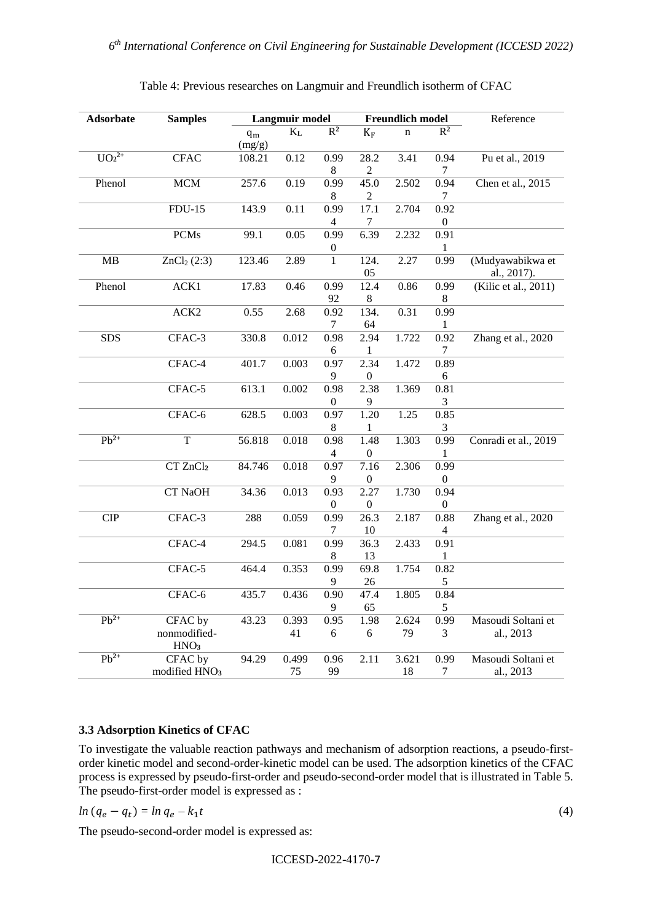| Adsorbate   | <b>Samples</b>            |        | Langmuir model |                  |                  | <b>Freundlich model</b> |                          | Reference            |
|-------------|---------------------------|--------|----------------|------------------|------------------|-------------------------|--------------------------|----------------------|
|             |                           | $q_m$  | $K_{L}$        | $R^2$            | $K_F$            | $\mathbf n$             | $R^2$                    |                      |
|             |                           | (mg/g) |                |                  |                  |                         |                          |                      |
| $UO_2^{2+}$ | <b>CFAC</b>               | 108.21 | $0.12\,$       | 0.99             | 28.2             | 3.41                    | 0.94                     | Pu et al., 2019      |
|             |                           |        |                | $\,8\,$          | $\overline{c}$   |                         | 7                        |                      |
| Phenol      | <b>MCM</b>                | 257.6  | 0.19           | 0.99             | 45.0             | 2.502                   | 0.94                     | Chen et al., 2015    |
|             |                           |        |                | 8                | $\overline{c}$   |                         | 7                        |                      |
|             | $FDU-15$                  | 143.9  | 0.11           | 0.99             | 17.1             | 2.704                   | 0.92                     |                      |
|             |                           |        |                | 4                | 7                |                         | $\boldsymbol{0}$         |                      |
|             | <b>PCMs</b>               | 99.1   | 0.05           | 0.99             | 6.39             | 2.232                   | 0.91                     |                      |
|             |                           |        |                | $\boldsymbol{0}$ |                  |                         | 1                        |                      |
| MB          | ZnCl <sub>2</sub> (2:3)   | 123.46 | 2.89           | $\mathbf{1}$     | 124.             | 2.27                    | 0.99                     | (Mudyawabikwa et     |
|             |                           |        |                |                  | 05               |                         |                          | al., 2017).          |
| Phenol      | ACK1                      | 17.83  | 0.46           | 0.99             | 12.4             | 0.86                    | 0.99                     | (Kilic et al., 2011) |
|             |                           |        |                | 92               | 8                |                         | 8                        |                      |
|             | ACK <sub>2</sub>          | 0.55   | 2.68           | 0.92             | 134.             | 0.31                    | 0.99                     |                      |
|             |                           |        |                | 7                | 64               |                         | 1                        |                      |
| <b>SDS</b>  | CFAC-3                    | 330.8  | 0.012          | 0.98             | 2.94             | 1.722                   | 0.92                     | Zhang et al., 2020   |
|             |                           |        |                | 6                | 1                |                         | 7                        |                      |
|             | CFAC-4                    | 401.7  | 0.003          | 0.97             | 2.34             | 1.472                   | 0.89                     |                      |
|             |                           |        |                | 9                | $\mathbf{0}$     |                         | 6                        |                      |
|             | CFAC-5                    | 613.1  | 0.002          | 0.98             | 2.38             | 1.369                   | 0.81                     |                      |
|             |                           |        |                | $\boldsymbol{0}$ | 9                |                         | 3                        |                      |
|             | CFAC-6                    | 628.5  | 0.003          | 0.97             | 1.20             | 1.25                    | 0.85                     |                      |
|             |                           |        |                | $\,8\,$          |                  |                         | 3                        |                      |
| $Pb^{2+}$   | T                         | 56.818 | 0.018          | 0.98             | 1.48             | 1.303                   | 0.99                     | Conradi et al., 2019 |
|             |                           |        |                | $\overline{4}$   | $\boldsymbol{0}$ |                         | 1                        |                      |
|             | CT ZnCl2                  | 84.746 | 0.018          | 0.97             | 7.16             | 2.306                   | 0.99                     |                      |
|             |                           |        |                | 9                | $\boldsymbol{0}$ |                         | $\boldsymbol{0}$         |                      |
|             | CT NaOH                   | 34.36  | 0.013          | 0.93             | 2.27             | 1.730                   | 0.94                     |                      |
|             |                           |        |                | $\boldsymbol{0}$ | $\boldsymbol{0}$ |                         | $\boldsymbol{0}$         |                      |
| CIP         | CFAC-3                    | 288    | 0.059          | 0.99             | 26.3             | 2.187                   | 0.88                     | Zhang et al., 2020   |
|             |                           |        |                | 7                | 10               |                         | $\overline{\mathcal{L}}$ |                      |
|             | CFAC-4                    | 294.5  | 0.081          | 0.99             | 36.3             | 2.433                   | 0.91                     |                      |
|             |                           |        |                | $\,8\,$          | 13               |                         | 1                        |                      |
|             | CFAC-5                    | 464.4  | 0.353          | 0.99             | 69.8             | 1.754                   | 0.82                     |                      |
|             |                           |        |                | 9                | 26               |                         | 5                        |                      |
|             | CFAC-6                    | 435.7  | 0.436          | 0.90             | 47.4             | 1.805                   | 0.84                     |                      |
|             |                           |        |                | 9                | 65               |                         | 5                        |                      |
| $Pb^{2+}$   | CFAC by                   | 43.23  | 0.393          | 0.95             | 1.98             | 2.624                   | 0.99                     | Masoudi Soltani et   |
|             | nonmodified-              |        | 41             | 6                | 6                | 79                      | 3                        | al., 2013            |
|             | HNO <sub>3</sub>          |        |                |                  |                  |                         |                          |                      |
| $Pb^{2+}$   | CFAC by                   | 94.29  | 0.499          | 0.96             | 2.11             | 3.621                   | 0.99                     | Masoudi Soltani et   |
|             | modified HNO <sub>3</sub> |        | 75             | 99               |                  | 18                      | 7                        | al., 2013            |

### Table 4: Previous researches on Langmuir and Freundlich isotherm of CFAC

# **3.3 Adsorption Kinetics of CFAC**

To investigate the valuable reaction pathways and mechanism of adsorption reactions, a pseudo-firstorder kinetic model and second-order-kinetic model can be used. The adsorption kinetics of the CFAC process is expressed by pseudo-first-order and pseudo-second-order model that is illustrated in Table 5. The pseudo-first-order model is expressed as :

$$
ln (q_e - q_t) = ln q_e - k_1 t \tag{4}
$$

The pseudo-second-order model is expressed as: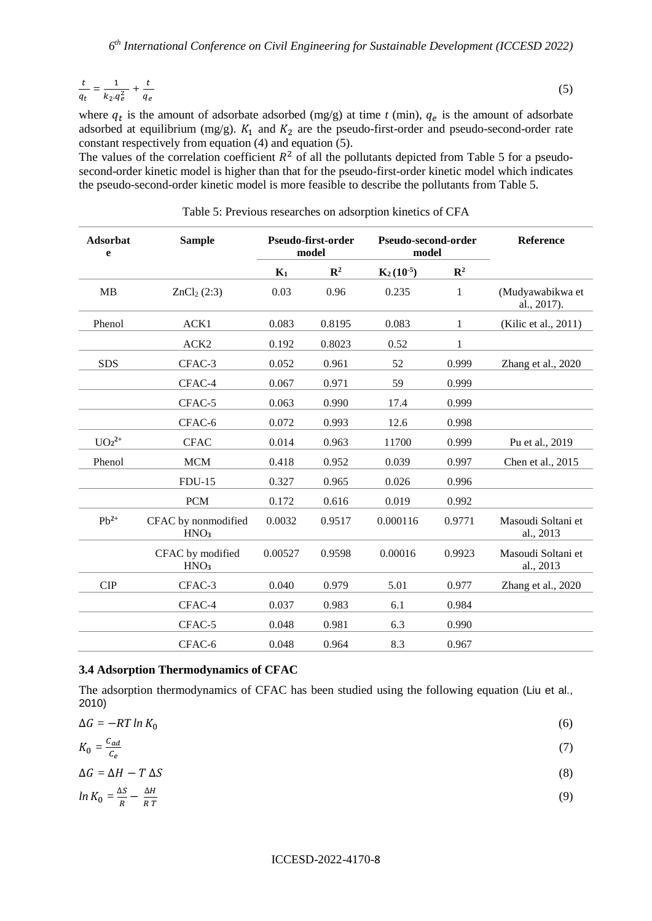$$
\frac{t}{q_t} = \frac{1}{k_2 \cdot q_e^2} + \frac{t}{q_e} \tag{5}
$$

where  $q_t$  is the amount of adsorbate adsorbed (mg/g) at time  $t$  (min),  $q_e$  is the amount of adsorbate adsorbed at equilibrium (mg/g).  $K_1$  and  $K_2$  are the pseudo-first-order and pseudo-second-order rate constant respectively from equation (4) and equation (5).

The values of the correlation coefficient  $R^2$  of all the pollutants depicted from Table 5 for a pseudosecond-order kinetic model is higher than that for the pseudo-first-order kinetic model which indicates the pseudo-second-order kinetic model is more feasible to describe the pollutants from Table 5.

| <b>Adsorbat</b><br>e | <b>Sample</b>                           | Pseudo-first-order<br>model |                | Pseudo-second-order<br>model |                | <b>Reference</b>                |
|----------------------|-----------------------------------------|-----------------------------|----------------|------------------------------|----------------|---------------------------------|
|                      |                                         | $K_1$                       | $\mathbb{R}^2$ | $K_2(10^{-5})$               | $\mathbb{R}^2$ |                                 |
| MB                   | ZnCl <sub>2</sub> (2:3)                 | 0.03                        | 0.96           | 0.235                        | $\mathbf{1}$   | (Mudyawabikwa et<br>al., 2017). |
| Phenol               | ACK1                                    | 0.083                       | 0.8195         | 0.083                        | 1              | (Kilic et al., 2011)            |
|                      | ACK <sub>2</sub>                        | 0.192                       | 0.8023         | 0.52                         | 1              |                                 |
| <b>SDS</b>           | CFAC-3                                  | 0.052                       | 0.961          | 52                           | 0.999          | Zhang et al., 2020              |
|                      | CFAC-4                                  | 0.067                       | 0.971          | 59                           | 0.999          |                                 |
|                      | CFAC-5                                  | 0.063                       | 0.990          | 17.4                         | 0.999          |                                 |
|                      | CFAC-6                                  | 0.072                       | 0.993          | 12.6                         | 0.998          |                                 |
| $UO_2^{2+}$          | <b>CFAC</b>                             | 0.014                       | 0.963          | 11700                        | 0.999          | Pu et al., 2019                 |
| Phenol               | <b>MCM</b>                              | 0.418                       | 0.952          | 0.039                        | 0.997          | Chen et al., 2015               |
|                      | $FDU-15$                                | 0.327                       | 0.965          | 0.026                        | 0.996          |                                 |
|                      | <b>PCM</b>                              | 0.172                       | 0.616          | 0.019                        | 0.992          |                                 |
| $Pb^{2+}$            | CFAC by nonmodified<br>HNO <sub>3</sub> | 0.0032                      | 0.9517         | 0.000116                     | 0.9771         | Masoudi Soltani et<br>al., 2013 |
|                      | CFAC by modified<br>HNO <sub>3</sub>    | 0.00527                     | 0.9598         | 0.00016                      | 0.9923         | Masoudi Soltani et<br>al., 2013 |
| <b>CIP</b>           | CFAC-3                                  | 0.040                       | 0.979          | 5.01                         | 0.977          | Zhang et al., 2020              |
|                      | CFAC-4                                  | 0.037                       | 0.983          | 6.1                          | 0.984          |                                 |
|                      | CFAC-5                                  | 0.048                       | 0.981          | 6.3                          | 0.990          |                                 |
|                      | CFAC-6                                  | 0.048                       | 0.964          | 8.3                          | 0.967          |                                 |

Table 5: Previous researches on adsorption kinetics of CFA

#### **3.4 Adsorption Thermodynamics of CFAC**

The adsorption thermodynamics of CFAC has been studied using the following equation (Liu et al., 2010)

| $\Delta G = -RT \ln K_0$                             | (6) |
|------------------------------------------------------|-----|
| $K_0 = \frac{c_{ad}}{c_e}$                           |     |
| $\Delta G = \Delta H - T \Delta S$                   | (8) |
| $ln K_0 = \frac{\Delta S}{R} - \frac{\Delta H}{R T}$ | (9) |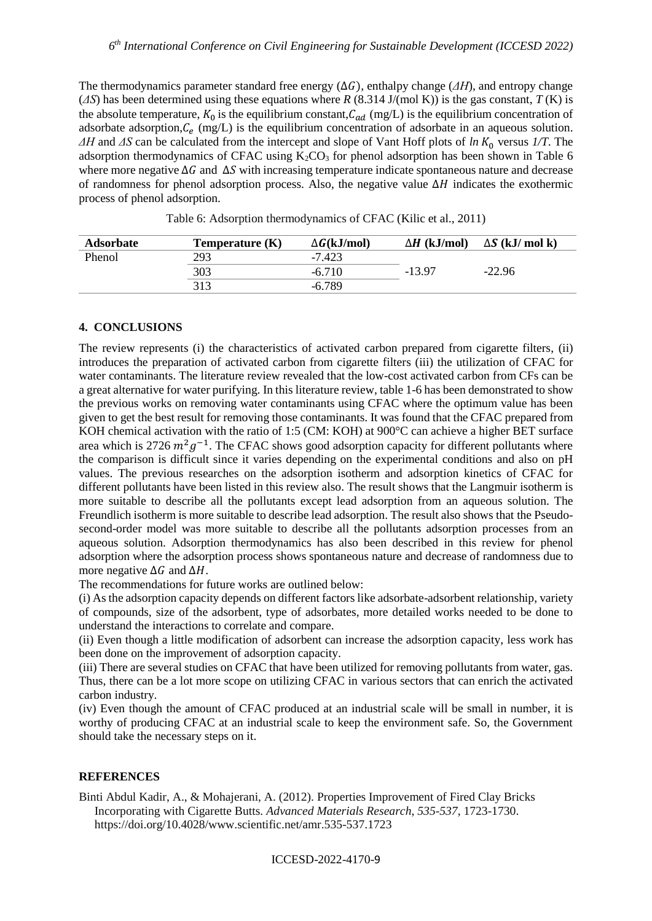The thermodynamics parameter standard free energy  $(\Delta G)$ , enthalpy change ( $\Delta H$ ), and entropy change (*ΔS*) has been determined using these equations where *R* (8.314 J/(mol K)) is the gas constant, *T* (K) is the absolute temperature,  $K_0$  is the equilibrium constant,  $C_{ad}$  (mg/L) is the equilibrium concentration of adsorbate adsorption,  $C_e$  (mg/L) is the equilibrium concentration of adsorbate in an aqueous solution.  $ΔH$  and  $ΔS$  can be calculated from the intercept and slope of Vant Hoff plots of *ln*  $K_0$  versus  $1/T$ . The adsorption thermodynamics of CFAC using  $K_2CO_3$  for phenol adsorption has been shown in Table 6 where more negative  $\Delta G$  and  $\Delta S$  with increasing temperature indicate spontaneous nature and decrease of randomness for phenol adsorption process. Also, the negative value  $\Delta H$  indicates the exothermic process of phenol adsorption.

| <b>Adsorbate</b> | Temperature (K) | $\Delta G(kJ/mol)$ | $\Delta H$ (kJ/mol) | $\Delta S$ (kJ/ mol k) |
|------------------|-----------------|--------------------|---------------------|------------------------|
| Phenol           | 293             | $-7.423$           |                     |                        |
|                  | 303             | $-6.710$           | $-13.97$            | $-22.96$               |
|                  | 313             | $-6.789$           |                     |                        |

Table 6: Adsorption thermodynamics of CFAC (Kilic et al., 2011)

# **4. CONCLUSIONS**

The review represents (i) the characteristics of activated carbon prepared from cigarette filters, (ii) introduces the preparation of activated carbon from cigarette filters (iii) the utilization of CFAC for water contaminants. The literature review revealed that the low-cost activated carbon from CFs can be a great alternative for water purifying. In this literature review, table 1-6 has been demonstrated to show the previous works on removing water contaminants using CFAC where the optimum value has been given to get the best result for removing those contaminants. It was found that the CFAC prepared from KOH chemical activation with the ratio of 1:5 (CM: KOH) at 900°C can achieve a higher BET surface area which is 2726  $m^2g^{-1}$ . The CFAC shows good adsorption capacity for different pollutants where the comparison is difficult since it varies depending on the experimental conditions and also on pH values. The previous researches on the adsorption isotherm and adsorption kinetics of CFAC for different pollutants have been listed in this review also. The result shows that the Langmuir isotherm is more suitable to describe all the pollutants except lead adsorption from an aqueous solution. The Freundlich isotherm is more suitable to describe lead adsorption. The result also shows that the Pseudosecond-order model was more suitable to describe all the pollutants adsorption processes from an aqueous solution. Adsorption thermodynamics has also been described in this review for phenol adsorption where the adsorption process shows spontaneous nature and decrease of randomness due to more negative  $\Delta G$  and  $\Delta H$ .

The recommendations for future works are outlined below:

(i) As the adsorption capacity depends on different factors like adsorbate-adsorbent relationship, variety of compounds, size of the adsorbent, type of adsorbates, more detailed works needed to be done to understand the interactions to correlate and compare.

(ii) Even though a little modification of adsorbent can increase the adsorption capacity, less work has been done on the improvement of adsorption capacity.

(iii) There are several studies on CFAC that have been utilized for removing pollutants from water, gas. Thus, there can be a lot more scope on utilizing CFAC in various sectors that can enrich the activated carbon industry.

(iv) Even though the amount of CFAC produced at an industrial scale will be small in number, it is worthy of producing CFAC at an industrial scale to keep the environment safe. So, the Government should take the necessary steps on it.

# **REFERENCES**

Binti Abdul Kadir, A., & Mohajerani, A. (2012). Properties Improvement of Fired Clay Bricks Incorporating with Cigarette Butts. *Advanced Materials Research*, *535-537*, 1723-1730. https://doi.org/10.4028/www.scientific.net/amr.535-537.1723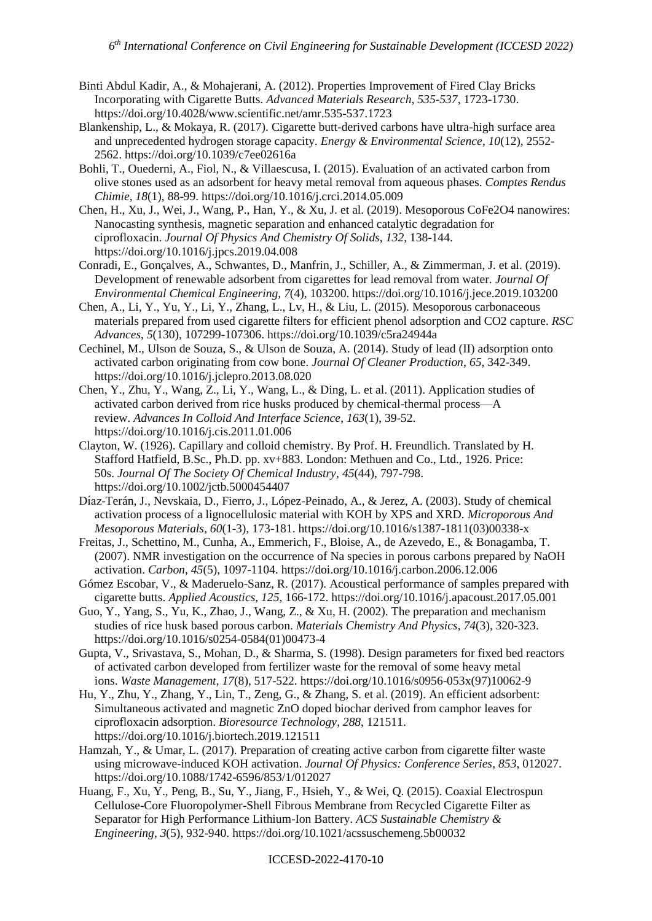- Binti Abdul Kadir, A., & Mohajerani, A. (2012). Properties Improvement of Fired Clay Bricks Incorporating with Cigarette Butts. *Advanced Materials Research*, *535-537*, 1723-1730. https://doi.org/10.4028/www.scientific.net/amr.535-537.1723
- Blankenship, L., & Mokaya, R. (2017). Cigarette butt-derived carbons have ultra-high surface area and unprecedented hydrogen storage capacity. *Energy & Environmental Science*, *10*(12), 2552- 2562. https://doi.org/10.1039/c7ee02616a
- Bohli, T., Ouederni, A., Fiol, N., & Villaescusa, I. (2015). Evaluation of an activated carbon from olive stones used as an adsorbent for heavy metal removal from aqueous phases. *Comptes Rendus Chimie*, *18*(1), 88-99.<https://doi.org/10.1016/j.crci.2014.05.009>
- Chen, H., Xu, J., Wei, J., Wang, P., Han, Y., & Xu, J. et al. (2019). Mesoporous CoFe2O4 nanowires: Nanocasting synthesis, magnetic separation and enhanced catalytic degradation for ciprofloxacin. *Journal Of Physics And Chemistry Of Solids*, *132*, 138-144. https://doi.org/10.1016/j.jpcs.2019.04.008
- Conradi, E., Gonçalves, A., Schwantes, D., Manfrin, J., Schiller, A., & Zimmerman, J. et al. (2019). Development of renewable adsorbent from cigarettes for lead removal from water. *Journal Of Environmental Chemical Engineering*, *7*(4), 103200. https://doi.org/10.1016/j.jece.2019.103200
- Chen, A., Li, Y., Yu, Y., Li, Y., Zhang, L., Lv, H., & Liu, L. (2015). Mesoporous carbonaceous materials prepared from used cigarette filters for efficient phenol adsorption and CO2 capture. *RSC Advances*, *5*(130), 107299-107306. https://doi.org/10.1039/c5ra24944a
- Cechinel, M., Ulson de Souza, S., & Ulson de Souza, A. (2014). Study of lead (II) adsorption onto activated carbon originating from cow bone. *Journal Of Cleaner Production*, *65*, 342-349. <https://doi.org/10.1016/j.jclepro.2013.08.020>
- Chen, Y., Zhu, Y., Wang, Z., Li, Y., Wang, L., & Ding, L. et al. (2011). Application studies of activated carbon derived from rice husks produced by chemical-thermal process—A review. *Advances In Colloid And Interface Science*, *163*(1), 39-52. <https://doi.org/10.1016/j.cis.2011.01.006>
- Clayton, W. (1926). Capillary and colloid chemistry. By Prof. H. Freundlich. Translated by H. Stafford Hatfield, B.Sc., Ph.D. pp. xv+883. London: Methuen and Co., Ltd., 1926. Price: 50s. *Journal Of The Society Of Chemical Industry*, *45*(44), 797-798. https://doi.org/10.1002/jctb.5000454407
- Dı́az-Terán, J., Nevskaia, D., Fierro, J., López-Peinado, A., & Jerez, A. (2003). Study of chemical activation process of a lignocellulosic material with KOH by XPS and XRD. *Microporous And Mesoporous Materials*, *60*(1-3), 173-181. [https://doi.org/10.1016/s1387-1811\(03\)00338-x](https://doi.org/10.1016/s1387-1811(03)00338-x)
- Freitas, J., Schettino, M., Cunha, A., Emmerich, F., Bloise, A., de Azevedo, E., & Bonagamba, T. (2007). NMR investigation on the occurrence of Na species in porous carbons prepared by NaOH activation. *Carbon*, *45*(5), 1097-1104. https://doi.org/10.1016/j.carbon.2006.12.006
- Gómez Escobar, V., & Maderuelo-Sanz, R. (2017). Acoustical performance of samples prepared with cigarette butts. *Applied Acoustics*, *125*, 166-172[. https://doi.org/10.1016/j.apacoust.2017.05.001](https://doi.org/10.1016/j.apacoust.2017.05.001)
- Guo, Y., Yang, S., Yu, K., Zhao, J., Wang, Z., & Xu, H. (2002). The preparation and mechanism studies of rice husk based porous carbon. *Materials Chemistry And Physics*, *74*(3), 320-323. [https://doi.org/10.1016/s0254-0584\(01\)00473-4](https://doi.org/10.1016/s0254-0584(01)00473-4)
- Gupta, V., Srivastava, S., Mohan, D., & Sharma, S. (1998). Design parameters for fixed bed reactors of activated carbon developed from fertilizer waste for the removal of some heavy metal ions. *Waste Management*, *17*(8), 517-522. [https://doi.org/10.1016/s0956-053x\(97\)10062-9](https://doi.org/10.1016/s0956-053x(97)10062-9)
- Hu, Y., Zhu, Y., Zhang, Y., Lin, T., Zeng, G., & Zhang, S. et al. (2019). An efficient adsorbent: Simultaneous activated and magnetic ZnO doped biochar derived from camphor leaves for ciprofloxacin adsorption. *Bioresource Technology*, *288*, 121511. https://doi.org/10.1016/j.biortech.2019.121511
- Hamzah, Y., & Umar, L. (2017). Preparation of creating active carbon from cigarette filter waste using microwave-induced KOH activation. *Journal Of Physics: Conference Series*, *853*, 012027. https://doi.org/10.1088/1742-6596/853/1/012027
- Huang, F., Xu, Y., Peng, B., Su, Y., Jiang, F., Hsieh, Y., & Wei, Q. (2015). Coaxial Electrospun Cellulose-Core Fluoropolymer-Shell Fibrous Membrane from Recycled Cigarette Filter as Separator for High Performance Lithium-Ion Battery. *ACS Sustainable Chemistry & Engineering*, *3*(5), 932-940. https://doi.org/10.1021/acssuschemeng.5b00032